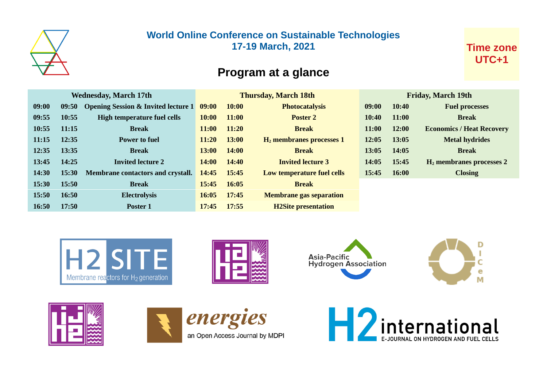

### **World Online Conference on Sustainable Technologies 17-19 March, 2021**

### **Time zone UTC+1**

# **Program at a glance**

| <b>Wednesday, March 17th</b> |       |                                                | <b>Thursday, March 18th</b> |              |                                | <b>Friday, March 19th</b> |              |                                  |
|------------------------------|-------|------------------------------------------------|-----------------------------|--------------|--------------------------------|---------------------------|--------------|----------------------------------|
| 09:00                        | 09:50 | <b>Opening Session &amp; Invited lecture 1</b> | 09:00                       | 10:00        | <b>Photocatalysis</b>          | 09:00                     | 10:40        | <b>Fuel processes</b>            |
| 09:55                        | 10:55 | High temperature fuel cells                    | 10:00                       | <b>11:00</b> | <b>Poster 2</b>                | 10:40                     | <b>11:00</b> | <b>Break</b>                     |
| 10:55                        | 11:15 | <b>Break</b>                                   | 11:00                       | 11:20        | <b>Break</b>                   | 11:00                     | 12:00        | <b>Economics / Heat Recovery</b> |
| 11:15                        | 12:35 | <b>Power to fuel</b>                           | 11:20                       | 13:00        | $H_2$ membranes processes 1    | 12:05                     | 13:05        | <b>Metal hydrides</b>            |
| 12:35                        | 13:35 | <b>Break</b>                                   | 13:00                       | 14:00        | <b>Break</b>                   | 13:05                     | 14:05        | <b>Break</b>                     |
| 13:45                        | 14:25 | <b>Invited lecture 2</b>                       | <b>14:00</b>                | 14:40        | <b>Invited lecture 3</b>       | 14:05                     | 15:45        | $H2$ membranes processes 2       |
| 14:30                        | 15:30 | <b>Membrane contactors and crystall.</b>       | 14:45                       | 15:45        | Low temperature fuel cells     | 15:45                     | 16:00        | <b>Closing</b>                   |
| 15:30                        | 15:50 | <b>Break</b>                                   | 15:45                       | 16:05        | <b>Break</b>                   |                           |              |                                  |
| 15:50                        | 16:50 | <b>Electrolysis</b>                            | 16:05                       | 17:45        | <b>Membrane gas separation</b> |                           |              |                                  |
| 16:50                        | 17:50 | Poster 1                                       | 17:45                       | 17:55        | <b>H2Site presentation</b>     |                           |              |                                  |
|                              |       |                                                |                             |              |                                |                           |              |                                  |













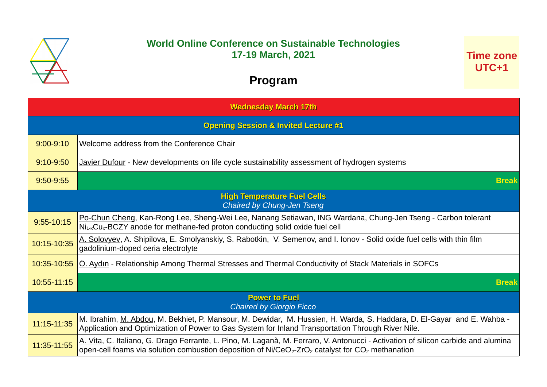

### **World Online Conference on Sustainable Technologies 17-19 March, 2021**

**Time zone UTC+1**

## **Program**

| <b>Wednesday March 17th</b>                             |                                                                                                                                                                                                                                                                 |  |
|---------------------------------------------------------|-----------------------------------------------------------------------------------------------------------------------------------------------------------------------------------------------------------------------------------------------------------------|--|
|                                                         | <b>Opening Session &amp; Invited Lecture #1</b>                                                                                                                                                                                                                 |  |
| $9:00 - 9:10$                                           | Welcome address from the Conference Chair                                                                                                                                                                                                                       |  |
| $9:10-9:50$                                             | Javier Dufour - New developments on life cycle sustainability assessment of hydrogen systems                                                                                                                                                                    |  |
| 9:50-9:55                                               | <b>Break</b>                                                                                                                                                                                                                                                    |  |
|                                                         | <b>High Temperature Fuel Cells</b><br><b>Chaired by Chung-Jen Tseng</b>                                                                                                                                                                                         |  |
| $9:55 - 10:15$                                          | Po-Chun Cheng, Kan-Rong Lee, Sheng-Wei Lee, Nanang Setiawan, ING Wardana, Chung-Jen Tseng - Carbon tolerant<br>$Ni_{1x}Cu_{x}$ -BCZY anode for methane-fed proton conducting solid oxide fuel cell                                                              |  |
| 10:15-10:35                                             | A. Solovyev, A. Shipilova, E. Smolyanskiy, S. Rabotkin, V. Semenov, and I. Ionov - Solid oxide fuel cells with thin film<br>gadolinium-doped ceria electrolyte                                                                                                  |  |
| 10:35-10:55                                             | O. Aydin - Relationship Among Thermal Stresses and Thermal Conductivity of Stack Materials in SOFCs                                                                                                                                                             |  |
| 10:55-11:15                                             | <b>Break</b>                                                                                                                                                                                                                                                    |  |
| <b>Power to Fuel</b><br><b>Chaired by Giorgio Ficco</b> |                                                                                                                                                                                                                                                                 |  |
| 11:15-11:35                                             | M. Ibrahim, M. Abdou, M. Bekhiet, P. Mansour, M. Dewidar, M. Hussien, H. Warda, S. Haddara, D. El-Gayar and E. Wahba -<br>Application and Optimization of Power to Gas System for Inland Transportation Through River Nile.                                     |  |
| 11:35-11:55                                             | A. Vita, C. Italiano, G. Drago Ferrante, L. Pino, M. Laganà, M. Ferraro, V. Antonucci - Activation of silicon carbide and alumina<br>open-cell foams via solution combustion deposition of Ni/CeO <sub>2</sub> -ZrO <sub>2</sub> catalyst for $CO2$ methanation |  |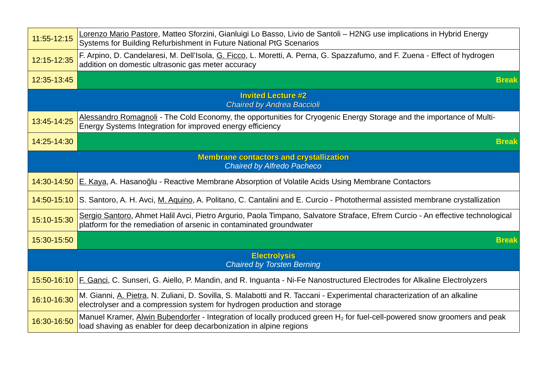| 11:55-12:15                                              | Lorenzo Mario Pastore, Matteo Sforzini, Gianluigi Lo Basso, Livio de Santoli - H2NG use implications in Hybrid Energy<br>Systems for Building Refurbishment in Future National PtG Scenarios               |  |  |
|----------------------------------------------------------|------------------------------------------------------------------------------------------------------------------------------------------------------------------------------------------------------------|--|--|
| 12:15-12:35                                              | F. Arpino, D. Candelaresi, M. Dell'Isola, G. Ficco, L. Moretti, A. Perna, G. Spazzafumo, and F. Zuena - Effect of hydrogen<br>addition on domestic ultrasonic gas meter accuracy                           |  |  |
| 12:35-13:45                                              | <b>Break</b>                                                                                                                                                                                               |  |  |
|                                                          | <b>Invited Lecture #2</b><br><b>Chaired by Andrea Baccioli</b>                                                                                                                                             |  |  |
| 13:45-14:25                                              | Alessandro Romagnoli - The Cold Economy, the opportunities for Cryogenic Energy Storage and the importance of Multi-<br>Energy Systems Integration for improved energy efficiency                          |  |  |
| 14:25-14:30                                              | <b>Break</b>                                                                                                                                                                                               |  |  |
|                                                          | <b>Membrane contactors and crystallization</b><br><b>Chaired by Alfredo Pacheco</b>                                                                                                                        |  |  |
| 14:30-14:50                                              | E. Kaya, A. Hasanoğlu - Reactive Membrane Absorption of Volatile Acids Using Membrane Contactors                                                                                                           |  |  |
| 14:50-15:10                                              | S. Santoro, A. H. Avci, M. Aguino, A. Politano, C. Cantalini and E. Curcio - Photothermal assisted membrane crystallization                                                                                |  |  |
| 15:10-15:30                                              | Sergio Santoro, Ahmet Halil Avci, Pietro Argurio, Paola Timpano, Salvatore Straface, Efrem Curcio - An effective technological<br>platform for the remediation of arsenic in contaminated groundwater      |  |  |
| 15:30-15:50                                              | <b>Break</b>                                                                                                                                                                                               |  |  |
| <b>Electrolysis</b><br><b>Chaired by Torsten Berning</b> |                                                                                                                                                                                                            |  |  |
|                                                          | 15:50-16:10 E. Ganci, C. Sunseri, G. Aiello, P. Mandin, and R. Inguanta - Ni-Fe Nanostructured Electrodes for Alkaline Electrolyzers                                                                       |  |  |
| 16:10-16:30                                              | M. Gianni, A. Pietra, N. Zuliani, D. Sovilla, S. Malabotti and R. Taccani - Experimental characterization of an alkaline<br>electrolyser and a compression system for hydrogen production and storage      |  |  |
| 16:30-16:50                                              | Manuel Kramer, Alwin Bubendorfer - Integration of locally produced green H <sub>2</sub> for fuel-cell-powered snow groomers and peak<br>load shaving as enabler for deep decarbonization in alpine regions |  |  |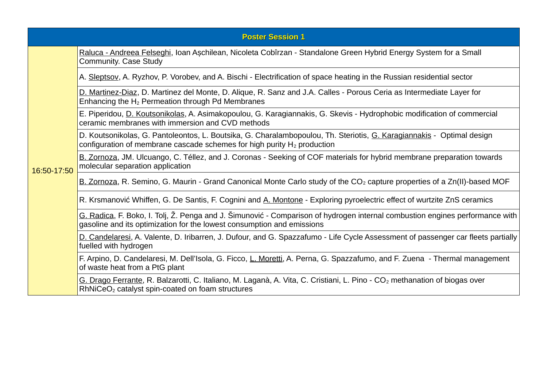|             | <b>Poster Session 1</b>                                                                                                                                                                                |
|-------------|--------------------------------------------------------------------------------------------------------------------------------------------------------------------------------------------------------|
|             | Raluca - Andreea Felseghi, Ioan Așchilean, Nicoleta Cobîrzan - Standalone Green Hybrid Energy System for a Small<br>Community. Case Study                                                              |
|             | A. Sleptsov, A. Ryzhov, P. Vorobev, and A. Bischi - Electrification of space heating in the Russian residential sector                                                                                 |
|             | D. Martinez-Diaz, D. Martinez del Monte, D. Alique, R. Sanz and J.A. Calles - Porous Ceria as Intermediate Layer for<br>Enhancing the $H_2$ Permeation through Pd Membranes                            |
|             | E. Piperidou, D. Koutsonikolas, A. Asimakopoulou, G. Karagiannakis, G. Skevis - Hydrophobic modification of commercial<br>ceramic membranes with immersion and CVD methods                             |
|             | D. Koutsonikolas, G. Pantoleontos, L. Boutsika, G. Charalambopoulou, Th. Steriotis, G. Karagiannakis - Optimal design<br>configuration of membrane cascade schemes for high purity $H_2$ production    |
| 16:50-17:50 | B. Zornoza, JM. Ulcuango, C. Téllez, and J. Coronas - Seeking of COF materials for hybrid membrane preparation towards<br>molecular separation application                                             |
|             | B. Zornoza, R. Semino, G. Maurin - Grand Canonical Monte Carlo study of the CO <sub>2</sub> capture properties of a Zn(II)-based MOF                                                                   |
|             | R. Krsmanović Whiffen, G. De Santis, F. Cognini and A. Montone - Exploring pyroelectric effect of wurtzite ZnS ceramics                                                                                |
|             | G. Radica, F. Boko, I. Tolj, Ž. Penga and J. Šimunović - Comparison of hydrogen internal combustion engines performance with<br>gasoline and its optimization for the lowest consumption and emissions |
|             | D. Candelaresi, A. Valente, D. Iribarren, J. Dufour, and G. Spazzafumo - Life Cycle Assessment of passenger car fleets partially<br>fuelled with hydrogen                                              |
|             | F. Arpino, D. Candelaresi, M. Dell'Isola, G. Ficco, L. Moretti, A. Perna, G. Spazzafumo, and F. Zuena - Thermal management<br>of waste heat from a PtG plant                                           |
|             | G. Drago Ferrante, R. Balzarotti, C. Italiano, M. Laganà, A. Vita, C. Cristiani, L. Pino - CO <sub>2</sub> methanation of biogas over<br>RhNiCeO <sub>2</sub> catalyst spin-coated on foam structures  |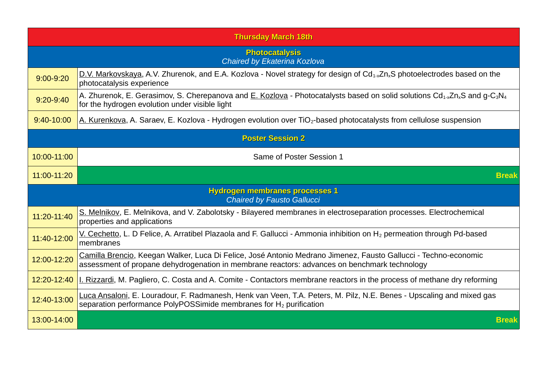| <b>Thursday March 18th</b>                                                 |                                                                                                                                                                                                                              |  |  |
|----------------------------------------------------------------------------|------------------------------------------------------------------------------------------------------------------------------------------------------------------------------------------------------------------------------|--|--|
| <b>Photocatalysis</b><br>Chaired by Ekaterina Kozlova                      |                                                                                                                                                                                                                              |  |  |
| $9:00 - 9:20$                                                              | D.V. Markovskaya, A.V. Zhurenok, and E.A. Kozlova - Novel strategy for design of $Cd_{1-x}Zn_xS$ photoelectrodes based on the<br>photocatalysis experience                                                                   |  |  |
| $9:20 - 9:40$                                                              | A. Zhurenok, E. Gerasimov, S. Cherepanova and E. Kozlova - Photocatalysts based on solid solutions Cd <sub>1-x</sub> Zn <sub>x</sub> S and g-C <sub>3</sub> N <sub>4</sub><br>for the hydrogen evolution under visible light |  |  |
| 9:40-10:00                                                                 | A. Kurenkova, A. Saraev, E. Kozlova - Hydrogen evolution over TiO <sub>2</sub> -based photocatalysts from cellulose suspension                                                                                               |  |  |
| <b>Poster Session 2</b>                                                    |                                                                                                                                                                                                                              |  |  |
| 10:00-11:00                                                                | Same of Poster Session 1                                                                                                                                                                                                     |  |  |
| 11:00-11:20                                                                | <b>Break</b>                                                                                                                                                                                                                 |  |  |
| <b>Hydrogen membranes processes 1</b><br><b>Chaired by Fausto Gallucci</b> |                                                                                                                                                                                                                              |  |  |
| 11:20-11:40                                                                | S. Melnikov, E. Melnikova, and V. Zabolotsky - Bilayered membranes in electroseparation processes. Electrochemical<br>properties and applications                                                                            |  |  |
| 11:40-12:00                                                                | V. Cechetto, L. D Felice, A. Arratibel Plazaola and F. Gallucci - Ammonia inhibition on H <sub>2</sub> permeation through Pd-based<br>membranes                                                                              |  |  |
| 12:00-12:20                                                                | Camilla Brencio, Keegan Walker, Luca Di Felice, José Antonio Medrano Jimenez, Fausto Gallucci - Techno-economic<br>assessment of propane dehydrogenation in membrane reactors: advances on benchmark technology              |  |  |
| 12:20-12:40                                                                | I. Rizzardi, M. Pagliero, C. Costa and A. Comite - Contactors membrane reactors in the process of methane dry reforming                                                                                                      |  |  |
| 12:40-13:00                                                                | Luca Ansaloni, E. Louradour, F. Radmanesh, Henk van Veen, T.A. Peters, M. Pilz, N.E. Benes - Upscaling and mixed gas<br>separation performance PolyPOSSimide membranes for $H_2$ purification                                |  |  |
| 13:00-14:00                                                                | <b>Break</b>                                                                                                                                                                                                                 |  |  |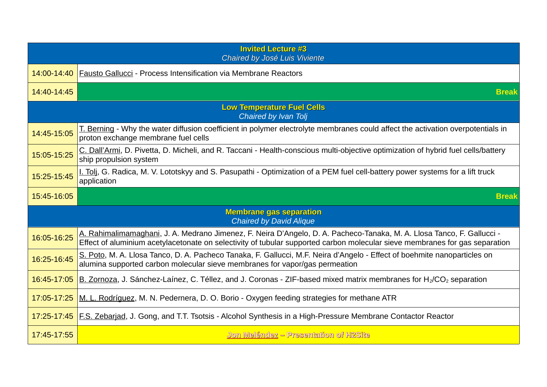| <b>Invited Lecture #3</b><br>Chaired by José Luis Viviente |                                                                                                                                                                                                                                                       |  |
|------------------------------------------------------------|-------------------------------------------------------------------------------------------------------------------------------------------------------------------------------------------------------------------------------------------------------|--|
| 14:00-14:40                                                | Fausto Gallucci - Process Intensification via Membrane Reactors                                                                                                                                                                                       |  |
| 14:40-14:45                                                | <b>Break</b>                                                                                                                                                                                                                                          |  |
|                                                            | <b>Low Temperature Fuel Cells</b><br>Chaired by Ivan Tolj                                                                                                                                                                                             |  |
| 14:45-15:05                                                | T. Berning - Why the water diffusion coefficient in polymer electrolyte membranes could affect the activation overpotentials in<br>proton exchange membrane fuel cells                                                                                |  |
| 15:05-15:25                                                | C. Dall'Armi, D. Pivetta, D. Micheli, and R. Taccani - Health-conscious multi-objective optimization of hybrid fuel cells/battery<br>ship propulsion system                                                                                           |  |
| 15:25-15:45                                                | I. Tolj, G. Radica, M. V. Lototskyy and S. Pasupathi - Optimization of a PEM fuel cell-battery power systems for a lift truck<br>application                                                                                                          |  |
| 15:45-16:05                                                | <b>Break</b>                                                                                                                                                                                                                                          |  |
|                                                            | <b>Membrane gas separation</b><br><b>Chaired by David Alique</b>                                                                                                                                                                                      |  |
| 16:05-16:25                                                | A. Rahimalimamaghani, J. A. Medrano Jimenez, F. Neira D'Angelo, D. A. Pacheco-Tanaka, M. A. Llosa Tanco, F. Gallucci -<br>Effect of aluminium acetylacetonate on selectivity of tubular supported carbon molecular sieve membranes for gas separation |  |
| 16:25-16:45                                                | S. Poto, M. A. Llosa Tanco, D. A. Pacheco Tanaka, F. Gallucci, M.F. Neira d'Angelo - Effect of boehmite nanoparticles on<br>alumina supported carbon molecular sieve membranes for vapor/gas permeation                                               |  |
| 16:45-17:05                                                | B. Zornoza, J. Sánchez-Laínez, C. Téllez, and J. Coronas - ZIF-based mixed matrix membranes for $H_2/CO_2$ separation                                                                                                                                 |  |
| 17:05-17:25                                                | M. L. Rodríguez, M. N. Pedernera, D. O. Borio - Oxygen feeding strategies for methane ATR                                                                                                                                                             |  |
| 17:25-17:45                                                | F.S. Zebarjad, J. Gong, and T.T. Tsotsis - Alcohol Synthesis in a High-Pressure Membrane Contactor Reactor                                                                                                                                            |  |
| 17:45-17:55                                                | Jon Meléndez - Presentation of H2Site                                                                                                                                                                                                                 |  |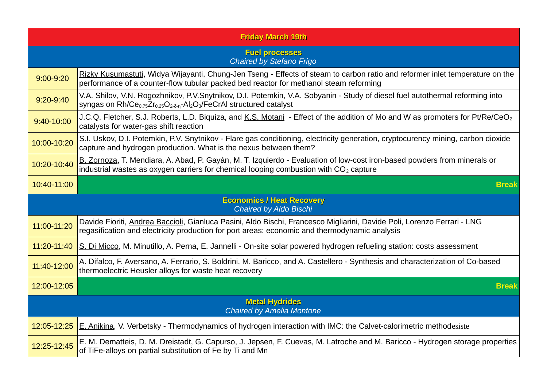| <b>Friday March 19th</b> |                                                                                                                                                                                                                                                                   |  |
|--------------------------|-------------------------------------------------------------------------------------------------------------------------------------------------------------------------------------------------------------------------------------------------------------------|--|
|                          | <b>Fuel processes</b><br>Chaired by Stefano Frigo                                                                                                                                                                                                                 |  |
| $9:00 - 9:20$            | Rizky Kusumastuti, Widya Wijayanti, Chung-Jen Tseng - Effects of steam to carbon ratio and reformer inlet temperature on the<br>performance of a counter-flow tubular packed bed reactor for methanol steam reforming                                             |  |
| $9:20 - 9:40$            | V.A. Shilov, V.N. Rogozhnikov, P.V.Snytnikov, D.I. Potemkin, V.A. Sobyanin - Study of diesel fuel autothermal reforming into<br>syngas on Rh/Ce <sub>0.75</sub> Zr <sub>0.25</sub> O <sub>2-δ-n</sub> -Al <sub>2</sub> O <sub>3</sub> /FeCrAl structured catalyst |  |
| 9:40-10:00               | J.C.Q. Fletcher, S.J. Roberts, L.D. Biquiza, and K.S. Motani - Effect of the addition of Mo and W as promoters for Pt/Re/CeO <sub>2</sub><br>catalysts for water-gas shift reaction                                                                               |  |
| 10:00-10:20              | S.I. Uskov, D.I. Potemkin, P.V. Snytnikov - Flare gas conditioning, electricity generation, cryptocurency mining, carbon dioxide<br>capture and hydrogen production. What is the nexus between them?                                                              |  |
| 10:20-10:40              | B. Zornoza, T. Mendiara, A. Abad, P. Gayán, M. T. Izquierdo - Evaluation of low-cost iron-based powders from minerals or<br>industrial wastes as oxygen carriers for chemical looping combustion with CO <sub>2</sub> capture                                     |  |
| 10:40-11:00              | <b>Break</b>                                                                                                                                                                                                                                                      |  |
|                          | <b>Economics / Heat Recovery</b><br><b>Chaired by Aldo Bischi</b>                                                                                                                                                                                                 |  |
| 11:00-11:20              | Davide Fioriti, Andrea Baccioli, Gianluca Pasini, Aldo Bischi, Francesco Migliarini, Davide Poli, Lorenzo Ferrari - LNG<br>regasification and electricity production for port areas: economic and thermodynamic analysis                                          |  |
| 11:20-11:40              | S. Di Micco, M. Minutillo, A. Perna, E. Jannelli - On-site solar powered hydrogen refueling station: costs assessment                                                                                                                                             |  |
| 11:40-12:00              | A. Difalco, F. Aversano, A. Ferrario, S. Boldrini, M. Baricco, and A. Castellero - Synthesis and characterization of Co-based<br>thermoelectric Heusler alloys for waste heat recovery                                                                            |  |
| 12:00-12:05              | <b>Break</b>                                                                                                                                                                                                                                                      |  |
|                          | <b>Metal Hydrides</b><br><b>Chaired by Amelia Montone</b>                                                                                                                                                                                                         |  |
| 12:05-12:25              | E. Anikina, V. Verbetsky - Thermodynamics of hydrogen interaction with IMC: the Calvet-calorimetric methodesiste                                                                                                                                                  |  |
| 12:25-12:45              | E. M. Dematteis, D. M. Dreistadt, G. Capurso, J. Jepsen, F. Cuevas, M. Latroche and M. Baricco - Hydrogen storage properties<br>of TiFe-alloys on partial substitution of Fe by Ti and Mn                                                                         |  |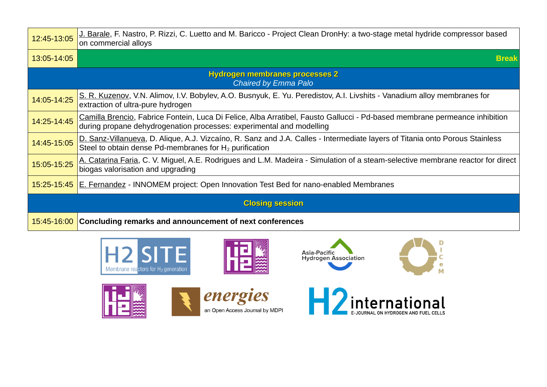| 12:45-13:05                                                          | J. Barale, F. Nastro, P. Rizzi, C. Luetto and M. Baricco - Project Clean DronHy: a two-stage metal hydride compressor based<br>on commercial alloys                                                |  |  |
|----------------------------------------------------------------------|----------------------------------------------------------------------------------------------------------------------------------------------------------------------------------------------------|--|--|
| 13:05-14:05                                                          | <b>Break</b>                                                                                                                                                                                       |  |  |
| <b>Hydrogen membranes processes 2</b><br><b>Chaired by Emma Palo</b> |                                                                                                                                                                                                    |  |  |
| 14:05-14:25                                                          | S. R. Kuzenov, V.N. Alimov, I.V. Bobylev, A.O. Busnyuk, E. Yu. Peredistov, A.I. Livshits - Vanadium alloy membranes for<br>extraction of ultra-pure hydrogen                                       |  |  |
| 14:25-14:45                                                          | Camilla Brencio, Fabrice Fontein, Luca Di Felice, Alba Arratibel, Fausto Gallucci - Pd-based membrane permeance inhibition<br>during propane dehydrogenation processes: experimental and modelling |  |  |
| 14:45-15:05                                                          | D. Sanz-Villanueva, D. Alique, A.J. Vizcaíno, R. Sanz and J.A. Calles - Intermediate layers of Titania onto Porous Stainless<br>Steel to obtain dense Pd-membranes for $H_2$ purification          |  |  |
| 15:05-15:25                                                          | A. Catarina Faria, C. V. Miguel, A.E. Rodrigues and L.M. Madeira - Simulation of a steam-selective membrane reactor for direct<br>biogas valorisation and upgrading                                |  |  |
| 15:25-15:45                                                          | <b>E. Fernandez</b> - INNOMEM project: Open Innovation Test Bed for nano-enabled Membranes                                                                                                         |  |  |
| <b>Closing session</b>                                               |                                                                                                                                                                                                    |  |  |
| 15:45-16:00                                                          | Concluding remarks and announcement of next conferences                                                                                                                                            |  |  |













D

C  $\mathbf e$ 

M